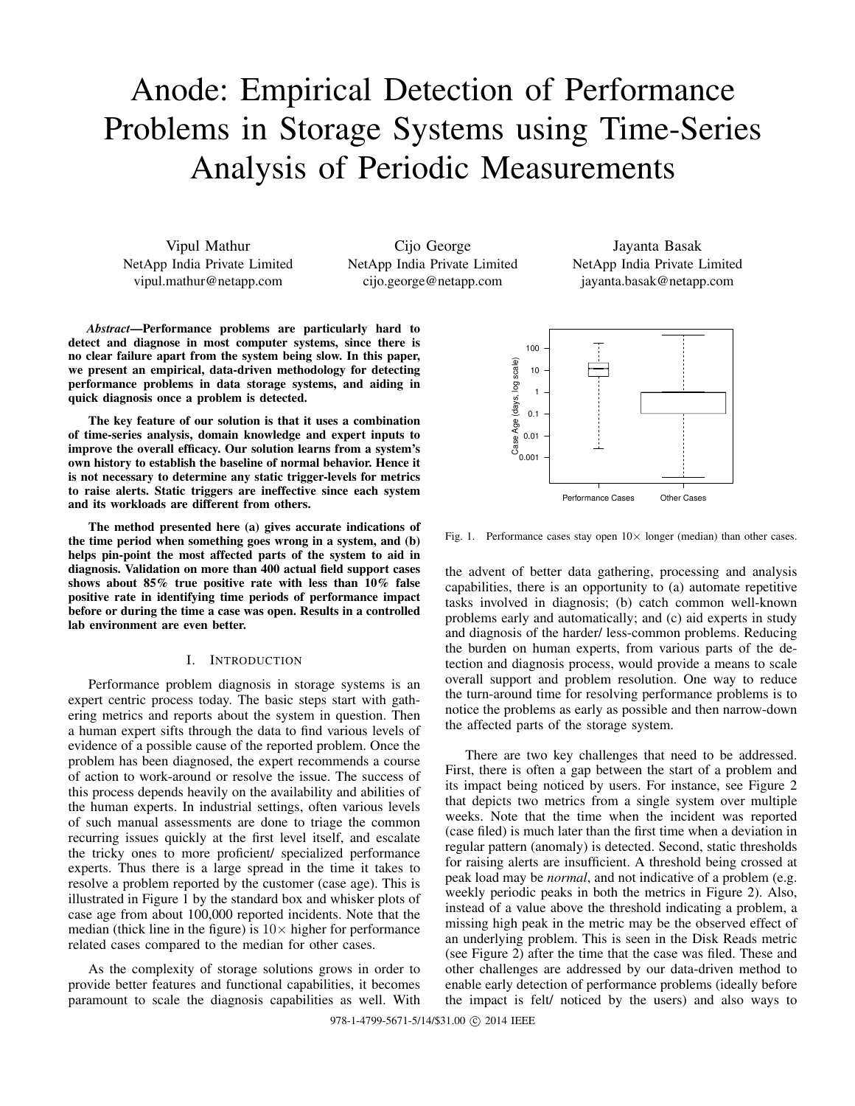# Anode: Empirical Detection of Performance Problems in Storage Systems using Time-Series Analysis of Periodic Measurements

Vipul Mathur NetApp India Private Limited vipul.mathur@netapp.com

Cijo George NetApp India Private Limited cijo.george@netapp.com

*Abstract*—Performance problems are particularly hard to detect and diagnose in most computer systems, since there is no clear failure apart from the system being slow. In this paper, we present an empirical, data-driven methodology for detecting performance problems in data storage systems, and aiding in quick diagnosis once a problem is detected.

The key feature of our solution is that it uses a combination of time-series analysis, domain knowledge and expert inputs to improve the overall efficacy. Our solution learns from a system's own history to establish the baseline of normal behavior. Hence it is not necessary to determine any static trigger-levels for metrics to raise alerts. Static triggers are ineffective since each system and its workloads are different from others.

The method presented here (a) gives accurate indications of the time period when something goes wrong in a system, and (b) helps pin-point the most affected parts of the system to aid in diagnosis. Validation on more than 400 actual field support cases shows about 85% true positive rate with less than 10% false positive rate in identifying time periods of performance impact before or during the time a case was open. Results in a controlled lab environment are even better.

# I. INTRODUCTION

Performance problem diagnosis in storage systems is an expert centric process today. The basic steps start with gathering metrics and reports about the system in question. Then a human expert sifts through the data to find various levels of evidence of a possible cause of the reported problem. Once the problem has been diagnosed, the expert recommends a course of action to work-around or resolve the issue. The success of this process depends heavily on the availability and abilities of the human experts. In industrial settings, often various levels of such manual assessments are done to triage the common recurring issues quickly at the first level itself, and escalate the tricky ones to more proficient/ specialized performance experts. Thus there is a large spread in the time it takes to resolve a problem reported by the customer (case age). This is illustrated in Figure 1 by the standard box and whisker plots of case age from about 100,000 reported incidents. Note that the median (thick line in the figure) is  $10\times$  higher for performance related cases compared to the median for other cases.

As the complexity of storage solutions grows in order to provide better features and functional capabilities, it becomes paramount to scale the diagnosis capabilities as well. With





Fig. 1. Performance cases stay open  $10 \times$  longer (median) than other cases.

the advent of better data gathering, processing and analysis capabilities, there is an opportunity to (a) automate repetitive tasks involved in diagnosis; (b) catch common well-known problems early and automatically; and (c) aid experts in study and diagnosis of the harder/ less-common problems. Reducing the burden on human experts, from various parts of the detection and diagnosis process, would provide a means to scale overall support and problem resolution. One way to reduce the turn-around time for resolving performance problems is to notice the problems as early as possible and then narrow-down the affected parts of the storage system.

There are two key challenges that need to be addressed. First, there is often a gap between the start of a problem and its impact being noticed by users. For instance, see Figure 2 that depicts two metrics from a single system over multiple weeks. Note that the time when the incident was reported (case filed) is much later than the first time when a deviation in regular pattern (anomaly) is detected. Second, static thresholds for raising alerts are insufficient. A threshold being crossed at peak load may be *normal*, and not indicative of a problem (e.g. weekly periodic peaks in both the metrics in Figure 2). Also, instead of a value above the threshold indicating a problem, a missing high peak in the metric may be the observed effect of an underlying problem. This is seen in the Disk Reads metric (see Figure 2) after the time that the case was filed. These and other challenges are addressed by our data-driven method to enable early detection of performance problems (ideally before the impact is felt/ noticed by the users) and also ways to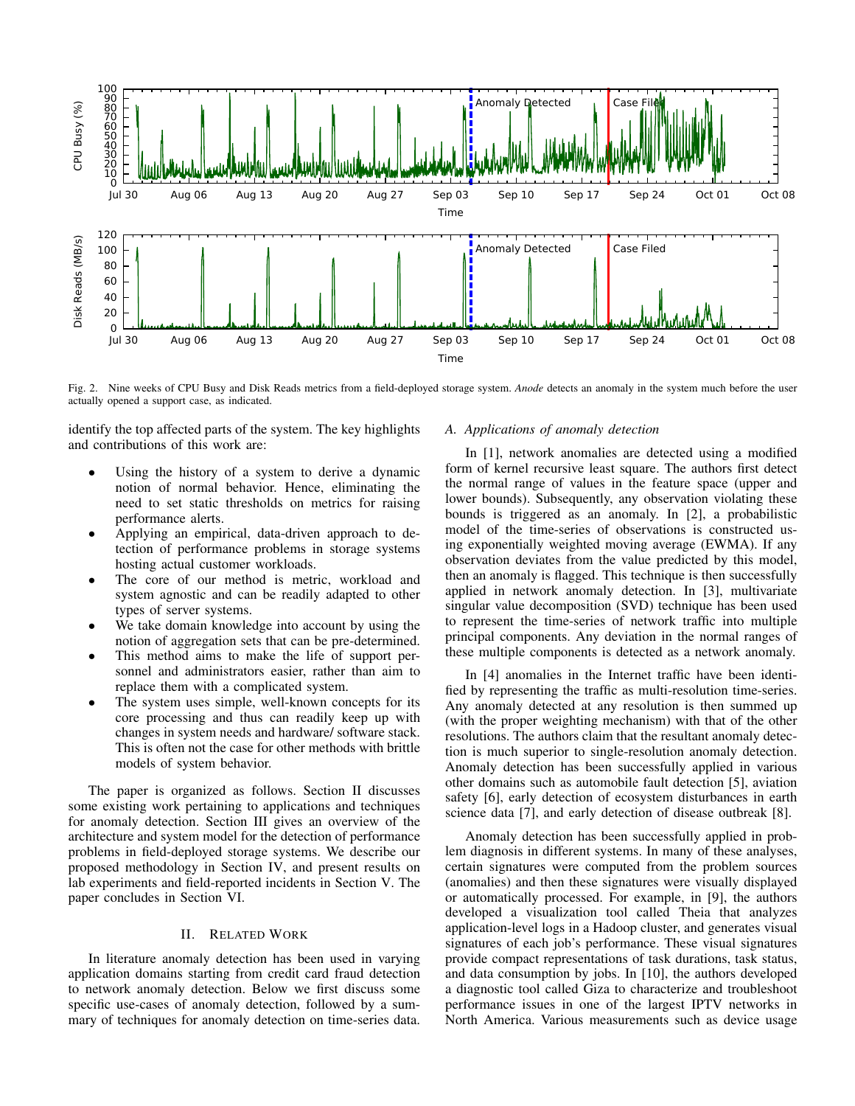

Fig. 2. Nine weeks of CPU Busy and Disk Reads metrics from a field-deployed storage system. *Anode* detects an anomaly in the system much before the user actually opened a support case, as indicated.

identify the top affected parts of the system. The key highlights and contributions of this work are:

- Using the history of a system to derive a dynamic notion of normal behavior. Hence, eliminating the need to set static thresholds on metrics for raising performance alerts.
- Applying an empirical, data-driven approach to detection of performance problems in storage systems hosting actual customer workloads.
- The core of our method is metric, workload and system agnostic and can be readily adapted to other types of server systems.
- We take domain knowledge into account by using the notion of aggregation sets that can be pre-determined.
- This method aims to make the life of support personnel and administrators easier, rather than aim to replace them with a complicated system.
- The system uses simple, well-known concepts for its core processing and thus can readily keep up with changes in system needs and hardware/ software stack. This is often not the case for other methods with brittle models of system behavior.

The paper is organized as follows. Section II discusses some existing work pertaining to applications and techniques for anomaly detection. Section III gives an overview of the architecture and system model for the detection of performance problems in field-deployed storage systems. We describe our proposed methodology in Section IV, and present results on lab experiments and field-reported incidents in Section V. The paper concludes in Section VI.

# II. RELATED WORK

In literature anomaly detection has been used in varying application domains starting from credit card fraud detection to network anomaly detection. Below we first discuss some specific use-cases of anomaly detection, followed by a summary of techniques for anomaly detection on time-series data.

## *A. Applications of anomaly detection*

In [1], network anomalies are detected using a modified form of kernel recursive least square. The authors first detect the normal range of values in the feature space (upper and lower bounds). Subsequently, any observation violating these bounds is triggered as an anomaly. In [2], a probabilistic model of the time-series of observations is constructed using exponentially weighted moving average (EWMA). If any observation deviates from the value predicted by this model, then an anomaly is flagged. This technique is then successfully applied in network anomaly detection. In [3], multivariate singular value decomposition (SVD) technique has been used to represent the time-series of network traffic into multiple principal components. Any deviation in the normal ranges of these multiple components is detected as a network anomaly.

In [4] anomalies in the Internet traffic have been identified by representing the traffic as multi-resolution time-series. Any anomaly detected at any resolution is then summed up (with the proper weighting mechanism) with that of the other resolutions. The authors claim that the resultant anomaly detection is much superior to single-resolution anomaly detection. Anomaly detection has been successfully applied in various other domains such as automobile fault detection [5], aviation safety [6], early detection of ecosystem disturbances in earth science data [7], and early detection of disease outbreak [8].

Anomaly detection has been successfully applied in problem diagnosis in different systems. In many of these analyses, certain signatures were computed from the problem sources (anomalies) and then these signatures were visually displayed or automatically processed. For example, in [9], the authors developed a visualization tool called Theia that analyzes application-level logs in a Hadoop cluster, and generates visual signatures of each job's performance. These visual signatures provide compact representations of task durations, task status, and data consumption by jobs. In [10], the authors developed a diagnostic tool called Giza to characterize and troubleshoot performance issues in one of the largest IPTV networks in North America. Various measurements such as device usage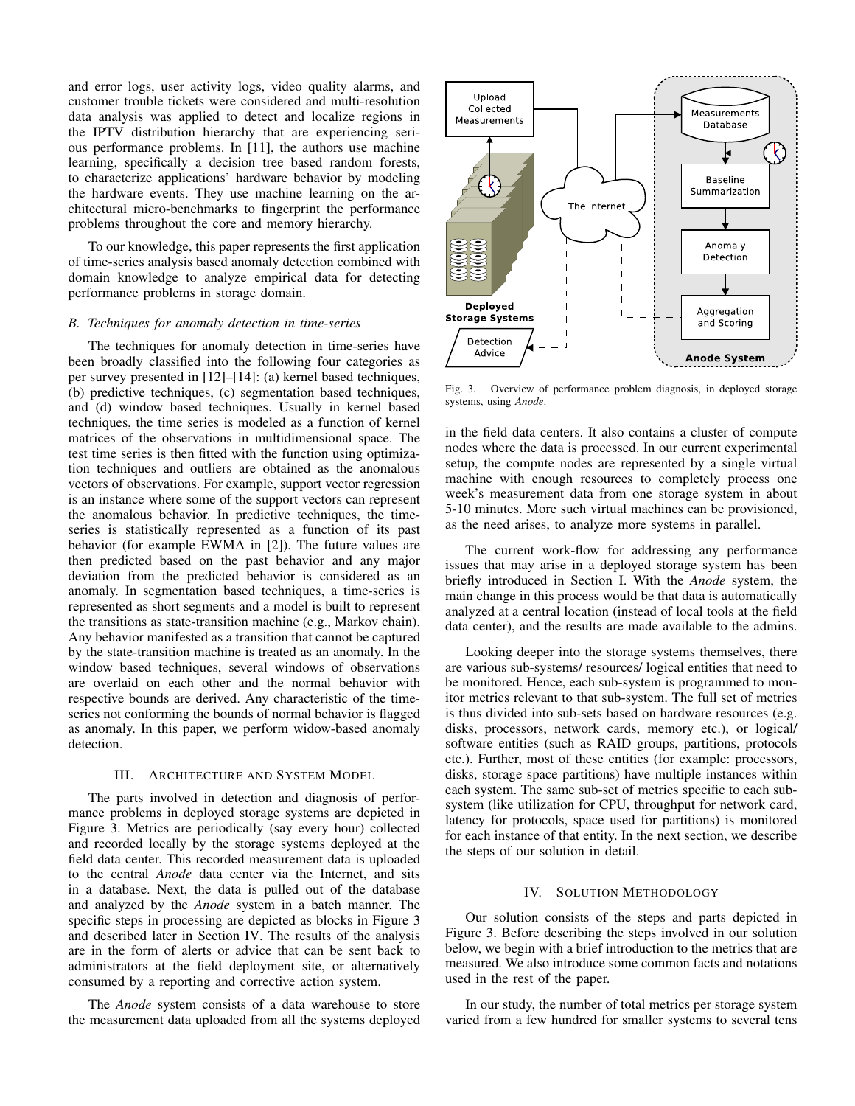and error logs, user activity logs, video quality alarms, and customer trouble tickets were considered and multi-resolution data analysis was applied to detect and localize regions in the IPTV distribution hierarchy that are experiencing serious performance problems. In [11], the authors use machine learning, specifically a decision tree based random forests, to characterize applications' hardware behavior by modeling the hardware events. They use machine learning on the architectural micro-benchmarks to fingerprint the performance problems throughout the core and memory hierarchy.

To our knowledge, this paper represents the first application of time-series analysis based anomaly detection combined with domain knowledge to analyze empirical data for detecting performance problems in storage domain.

## *B. Techniques for anomaly detection in time-series*

The techniques for anomaly detection in time-series have been broadly classified into the following four categories as per survey presented in [12]–[14]: (a) kernel based techniques, (b) predictive techniques, (c) segmentation based techniques, and (d) window based techniques. Usually in kernel based techniques, the time series is modeled as a function of kernel matrices of the observations in multidimensional space. The test time series is then fitted with the function using optimization techniques and outliers are obtained as the anomalous vectors of observations. For example, support vector regression is an instance where some of the support vectors can represent the anomalous behavior. In predictive techniques, the timeseries is statistically represented as a function of its past behavior (for example EWMA in [2]). The future values are then predicted based on the past behavior and any major deviation from the predicted behavior is considered as an anomaly. In segmentation based techniques, a time-series is represented as short segments and a model is built to represent the transitions as state-transition machine (e.g., Markov chain). Any behavior manifested as a transition that cannot be captured by the state-transition machine is treated as an anomaly. In the window based techniques, several windows of observations are overlaid on each other and the normal behavior with respective bounds are derived. Any characteristic of the timeseries not conforming the bounds of normal behavior is flagged as anomaly. In this paper, we perform widow-based anomaly detection.

# III. ARCHITECTURE AND SYSTEM MODEL

The parts involved in detection and diagnosis of performance problems in deployed storage systems are depicted in Figure 3. Metrics are periodically (say every hour) collected and recorded locally by the storage systems deployed at the field data center. This recorded measurement data is uploaded to the central *Anode* data center via the Internet, and sits in a database. Next, the data is pulled out of the database and analyzed by the *Anode* system in a batch manner. The specific steps in processing are depicted as blocks in Figure 3 and described later in Section IV. The results of the analysis are in the form of alerts or advice that can be sent back to administrators at the field deployment site, or alternatively consumed by a reporting and corrective action system.

The *Anode* system consists of a data warehouse to store the measurement data uploaded from all the systems deployed



Fig. 3. Overview of performance problem diagnosis, in deployed storage systems, using *Anode*.

in the field data centers. It also contains a cluster of compute nodes where the data is processed. In our current experimental setup, the compute nodes are represented by a single virtual machine with enough resources to completely process one week's measurement data from one storage system in about 5-10 minutes. More such virtual machines can be provisioned, as the need arises, to analyze more systems in parallel.

The current work-flow for addressing any performance issues that may arise in a deployed storage system has been briefly introduced in Section I. With the *Anode* system, the main change in this process would be that data is automatically analyzed at a central location (instead of local tools at the field data center), and the results are made available to the admins.

Looking deeper into the storage systems themselves, there are various sub-systems/ resources/ logical entities that need to be monitored. Hence, each sub-system is programmed to monitor metrics relevant to that sub-system. The full set of metrics is thus divided into sub-sets based on hardware resources (e.g. disks, processors, network cards, memory etc.), or logical/ software entities (such as RAID groups, partitions, protocols etc.). Further, most of these entities (for example: processors, disks, storage space partitions) have multiple instances within each system. The same sub-set of metrics specific to each subsystem (like utilization for CPU, throughput for network card, latency for protocols, space used for partitions) is monitored for each instance of that entity. In the next section, we describe the steps of our solution in detail.

# IV. SOLUTION METHODOLOGY

Our solution consists of the steps and parts depicted in Figure 3. Before describing the steps involved in our solution below, we begin with a brief introduction to the metrics that are measured. We also introduce some common facts and notations used in the rest of the paper.

In our study, the number of total metrics per storage system varied from a few hundred for smaller systems to several tens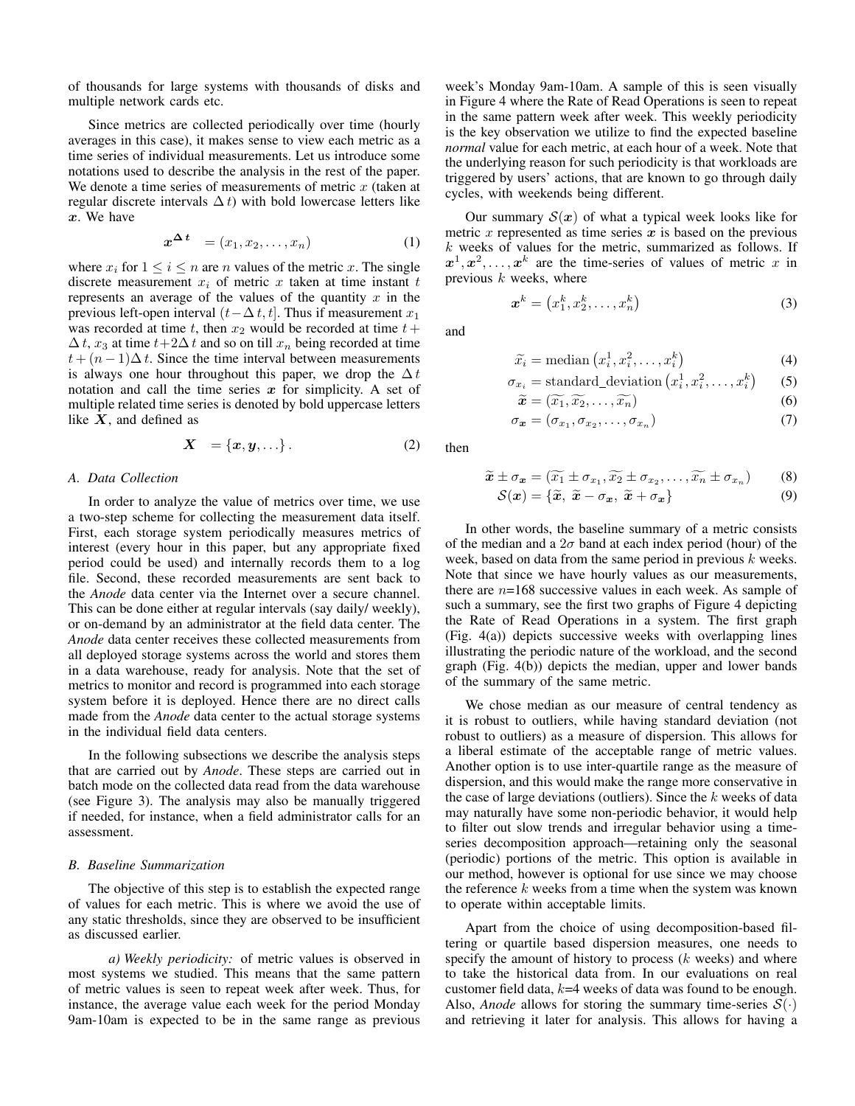of thousands for large systems with thousands of disks and multiple network cards etc.

Since metrics are collected periodically over time (hourly averages in this case), it makes sense to view each metric as a time series of individual measurements. Let us introduce some notations used to describe the analysis in the rest of the paper. We denote a time series of measurements of metric  $x$  (taken at regular discrete intervals  $\Delta t$ ) with bold lowercase letters like x. We have

$$
x^{\Delta t} = (x_1, x_2, \dots, x_n)
$$
 (1)

where  $x_i$  for  $1 \le i \le n$  are n values of the metric x. The single discrete measurement  $x_i$  of metric x taken at time instant t represents an average of the values of the quantity  $x$  in the previous left-open interval  $(t-\Delta t, t]$ . Thus if measurement  $x_1$ was recorded at time t, then  $x_2$  would be recorded at time  $t+$  $\Delta t$ ,  $x_3$  at time  $t+2\Delta t$  and so on till  $x_n$  being recorded at time  $t + (n-1)\Delta t$ . Since the time interval between measurements is always one hour throughout this paper, we drop the  $\Delta t$ notation and call the time series  $x$  for simplicity. A set of multiple related time series is denoted by bold uppercase letters like  $X$ , and defined as

$$
\mathbf{X} = \{\mathbf{x}, \mathbf{y}, \ldots\}.
$$
 (2)

## *A. Data Collection*

In order to analyze the value of metrics over time, we use a two-step scheme for collecting the measurement data itself. First, each storage system periodically measures metrics of interest (every hour in this paper, but any appropriate fixed period could be used) and internally records them to a log file. Second, these recorded measurements are sent back to the *Anode* data center via the Internet over a secure channel. This can be done either at regular intervals (say daily/ weekly), or on-demand by an administrator at the field data center. The *Anode* data center receives these collected measurements from all deployed storage systems across the world and stores them in a data warehouse, ready for analysis. Note that the set of metrics to monitor and record is programmed into each storage system before it is deployed. Hence there are no direct calls made from the *Anode* data center to the actual storage systems in the individual field data centers.

In the following subsections we describe the analysis steps that are carried out by *Anode*. These steps are carried out in batch mode on the collected data read from the data warehouse (see Figure 3). The analysis may also be manually triggered if needed, for instance, when a field administrator calls for an assessment.

## *B. Baseline Summarization*

The objective of this step is to establish the expected range of values for each metric. This is where we avoid the use of any static thresholds, since they are observed to be insufficient as discussed earlier.

*a) Weekly periodicity:* of metric values is observed in most systems we studied. This means that the same pattern of metric values is seen to repeat week after week. Thus, for instance, the average value each week for the period Monday 9am-10am is expected to be in the same range as previous week's Monday 9am-10am. A sample of this is seen visually in Figure 4 where the Rate of Read Operations is seen to repeat in the same pattern week after week. This weekly periodicity is the key observation we utilize to find the expected baseline *normal* value for each metric, at each hour of a week. Note that the underlying reason for such periodicity is that workloads are triggered by users' actions, that are known to go through daily cycles, with weekends being different.

Our summary  $S(x)$  of what a typical week looks like for metric x represented as time series  $x$  is based on the previous  $k$  weeks of values for the metric, summarized as follows. If  $x^1, x^2, \ldots, x^k$  are the time-series of values of metric x in previous  $k$  weeks, where

 $\boldsymbol{x}^k = \left(x_1^k, x_2^k, \ldots, x_n^k\right)$ 

and

$$
\widetilde{x_i} = \text{median}\left(x_i^1, x_i^2, \dots, x_i^k\right) \tag{4}
$$

(3)

$$
\sigma_{x_i} = \text{standard\_deviation} \left( x_i^1, x_i^2, \dots, x_i^k \right) \tag{5}
$$

$$
\widetilde{\boldsymbol{x}} = (\widetilde{x_1}, \widetilde{x_2}, \dots, \widetilde{x_n}) \tag{6}
$$

$$
\sigma_{\boldsymbol{x}} = (\sigma_{x_1}, \sigma_{x_2}, \dots, \sigma_{x_n}) \tag{7}
$$

then

$$
\widetilde{\boldsymbol{x}} \pm \sigma_{\boldsymbol{x}} = (\widetilde{x_1} \pm \sigma_{x_1}, \widetilde{x_2} \pm \sigma_{x_2}, \dots, \widetilde{x_n} \pm \sigma_{x_n})
$$
(8)

$$
\mathcal{S}(\boldsymbol{x}) = \{\widetilde{\boldsymbol{x}}, \ \widetilde{\boldsymbol{x}} - \sigma_{\boldsymbol{x}}, \ \widetilde{\boldsymbol{x}} + \sigma_{\boldsymbol{x}}\}\tag{9}
$$

In other words, the baseline summary of a metric consists of the median and a  $2\sigma$  band at each index period (hour) of the week, based on data from the same period in previous  $k$  weeks. Note that since we have hourly values as our measurements, there are  $n=168$  successive values in each week. As sample of such a summary, see the first two graphs of Figure 4 depicting the Rate of Read Operations in a system. The first graph (Fig. 4(a)) depicts successive weeks with overlapping lines illustrating the periodic nature of the workload, and the second graph (Fig. 4(b)) depicts the median, upper and lower bands of the summary of the same metric.

We chose median as our measure of central tendency as it is robust to outliers, while having standard deviation (not robust to outliers) as a measure of dispersion. This allows for a liberal estimate of the acceptable range of metric values. Another option is to use inter-quartile range as the measure of dispersion, and this would make the range more conservative in the case of large deviations (outliers). Since the  $k$  weeks of data may naturally have some non-periodic behavior, it would help to filter out slow trends and irregular behavior using a timeseries decomposition approach—retaining only the seasonal (periodic) portions of the metric. This option is available in our method, however is optional for use since we may choose the reference  $k$  weeks from a time when the system was known to operate within acceptable limits.

Apart from the choice of using decomposition-based filtering or quartile based dispersion measures, one needs to specify the amount of history to process  $(k$  weeks) and where to take the historical data from. In our evaluations on real customer field data,  $k=4$  weeks of data was found to be enough. Also, *Anode* allows for storing the summary time-series  $S(\cdot)$ and retrieving it later for analysis. This allows for having a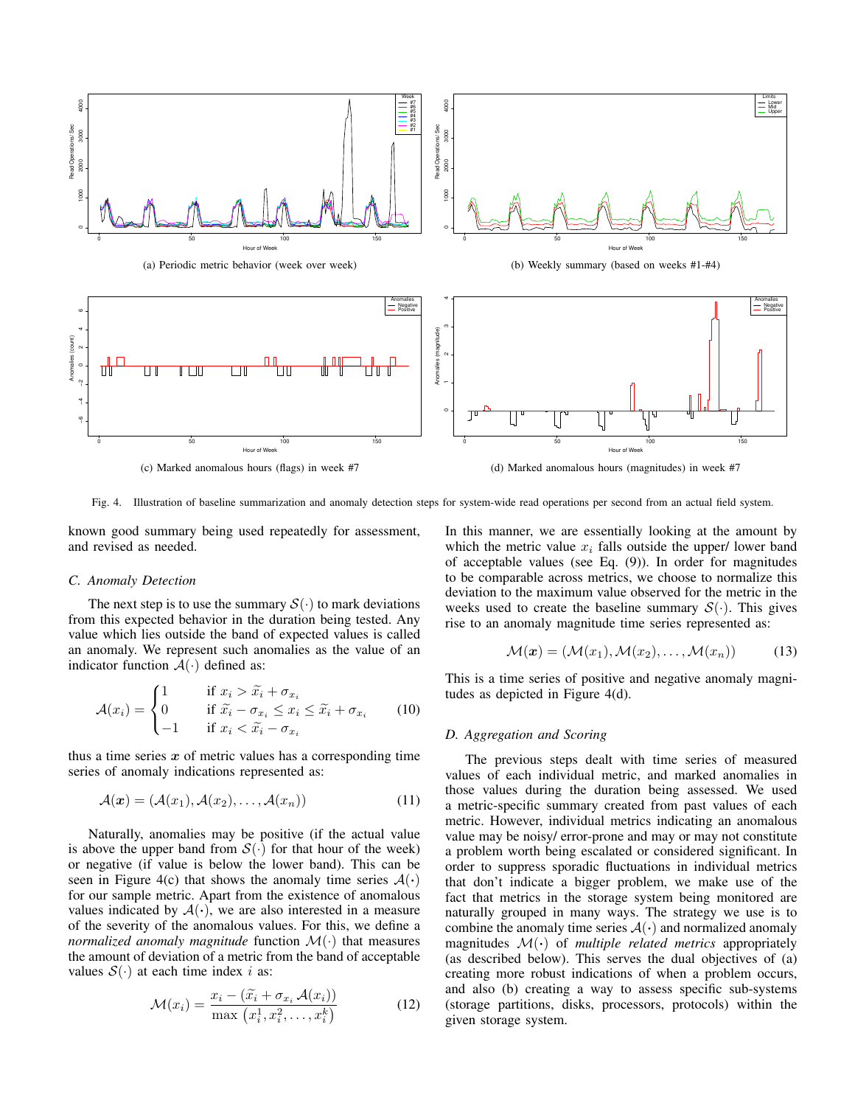

Fig. 4. Illustration of baseline summarization and anomaly detection steps for system-wide read operations per second from an actual field system.

known good summary being used repeatedly for assessment, and revised as needed.

#### *C. Anomaly Detection*

The next step is to use the summary  $S(\cdot)$  to mark deviations from this expected behavior in the duration being tested. Any value which lies outside the band of expected values is called an anomaly. We represent such anomalies as the value of an indicator function  $A(\cdot)$  defined as:

$$
\mathcal{A}(x_i) = \begin{cases} 1 & \text{if } x_i > \widetilde{x}_i + \sigma_{x_i} \\ 0 & \text{if } \widetilde{x}_i - \sigma_{x_i} \le x_i \le \widetilde{x}_i + \sigma_{x_i} \\ -1 & \text{if } x_i < \widetilde{x}_i - \sigma_{x_i} \end{cases}
$$
(10)

thus a time series  $x$  of metric values has a corresponding time series of anomaly indications represented as:

$$
\mathcal{A}(\boldsymbol{x}) = (\mathcal{A}(x_1), \mathcal{A}(x_2), \dots, \mathcal{A}(x_n))
$$
\n(11)

Naturally, anomalies may be positive (if the actual value is above the upper band from  $S(\cdot)$  for that hour of the week) or negative (if value is below the lower band). This can be seen in Figure 4(c) that shows the anomaly time series  $A(\cdot)$ for our sample metric. Apart from the existence of anomalous values indicated by  $A(\cdot)$ , we are also interested in a measure of the severity of the anomalous values. For this, we define a *normalized anomaly magnitude* function  $\mathcal{M}(\cdot)$  that measures the amount of deviation of a metric from the band of acceptable values  $S(\cdot)$  at each time index i as:

$$
\mathcal{M}(x_i) = \frac{x_i - (\widetilde{x}_i + \sigma_{x_i} \mathcal{A}(x_i))}{\max (x_i^1, x_i^2, \dots, x_i^k)}
$$
(12)

In this manner, we are essentially looking at the amount by which the metric value  $x_i$  falls outside the upper/ lower band of acceptable values (see Eq. (9)). In order for magnitudes to be comparable across metrics, we choose to normalize this deviation to the maximum value observed for the metric in the weeks used to create the baseline summary  $S(\cdot)$ . This gives rise to an anomaly magnitude time series represented as:

$$
\mathcal{M}(\boldsymbol{x}) = (\mathcal{M}(x_1), \mathcal{M}(x_2), \dots, \mathcal{M}(x_n))
$$
 (13)

This is a time series of positive and negative anomaly magnitudes as depicted in Figure 4(d).

#### *D. Aggregation and Scoring*

The previous steps dealt with time series of measured values of each individual metric, and marked anomalies in those values during the duration being assessed. We used a metric-specific summary created from past values of each metric. However, individual metrics indicating an anomalous value may be noisy/ error-prone and may or may not constitute a problem worth being escalated or considered significant. In order to suppress sporadic fluctuations in individual metrics that don't indicate a bigger problem, we make use of the fact that metrics in the storage system being monitored are naturally grouped in many ways. The strategy we use is to combine the anomaly time series  $A(\cdot)$  and normalized anomaly magnitudes  $\mathcal{M}(\cdot)$  of *multiple related metrics* appropriately (as described below). This serves the dual objectives of (a) creating more robust indications of when a problem occurs, and also (b) creating a way to assess specific sub-systems (storage partitions, disks, processors, protocols) within the given storage system.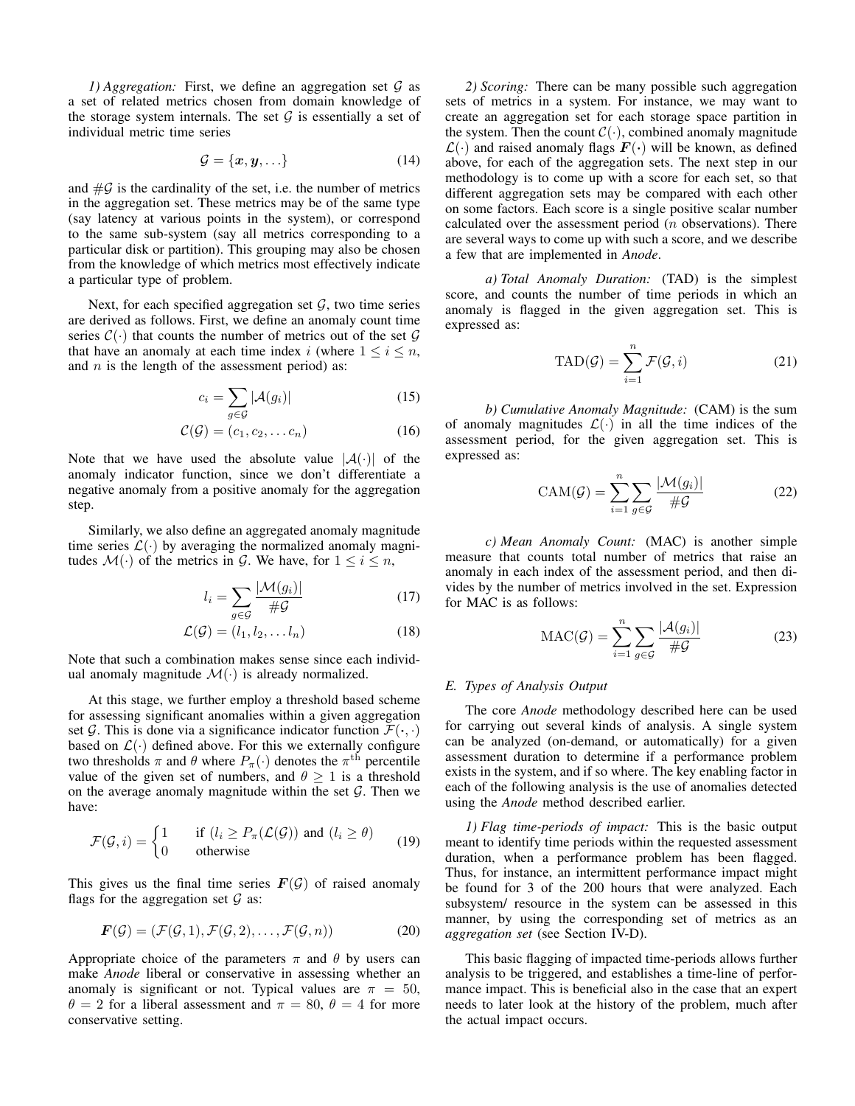*1) Aggregation:* First, we define an aggregation set  $G$  as a set of related metrics chosen from domain knowledge of the storage system internals. The set  $G$  is essentially a set of individual metric time series

$$
\mathcal{G} = \{x, y, \ldots\} \tag{14}
$$

and  $\#G$  is the cardinality of the set, i.e. the number of metrics in the aggregation set. These metrics may be of the same type (say latency at various points in the system), or correspond to the same sub-system (say all metrics corresponding to a particular disk or partition). This grouping may also be chosen from the knowledge of which metrics most effectively indicate a particular type of problem.

Next, for each specified aggregation set  $G$ , two time series are derived as follows. First, we define an anomaly count time series  $C(\cdot)$  that counts the number of metrics out of the set G that have an anomaly at each time index i (where  $1 \le i \le n$ , and  $n$  is the length of the assessment period) as:

$$
c_i = \sum_{g \in \mathcal{G}} |\mathcal{A}(g_i)| \tag{15}
$$

$$
\mathcal{C}(\mathcal{G}) = (c_1, c_2, \dots c_n) \tag{16}
$$

Note that we have used the absolute value  $|\mathcal{A}(\cdot)|$  of the anomaly indicator function, since we don't differentiate a negative anomaly from a positive anomaly for the aggregation step.

Similarly, we also define an aggregated anomaly magnitude time series  $\mathcal{L}(\cdot)$  by averaging the normalized anomaly magnitudes  $\mathcal{M}(\cdot)$  of the metrics in  $\mathcal{G}$ . We have, for  $1 \leq i \leq n$ ,

$$
l_i = \sum_{g \in \mathcal{G}} \frac{|\mathcal{M}(g_i)|}{\#\mathcal{G}}
$$
 (17)

$$
\mathcal{L}(\mathcal{G}) = (l_1, l_2, \dots l_n) \tag{18}
$$

Note that such a combination makes sense since each individual anomaly magnitude  $\mathcal{M}(\cdot)$  is already normalized.

At this stage, we further employ a threshold based scheme for assessing significant anomalies within a given aggregation set G. This is done via a significance indicator function  $\mathcal{F}(\cdot, \cdot)$ based on  $\mathcal{L}(\cdot)$  defined above. For this we externally configure two thresholds  $\pi$  and  $\theta$  where  $P_{\pi}(\cdot)$  denotes the  $\pi^{\text{th}}$  percentile value of the given set of numbers, and  $\theta \geq 1$  is a threshold on the average anomaly magnitude within the set  $G$ . Then we have:

$$
\mathcal{F}(\mathcal{G}, i) = \begin{cases} 1 & \text{if } (l_i \ge P_\pi(\mathcal{L}(\mathcal{G})) \text{ and } (l_i \ge \theta) \\ 0 & \text{otherwise} \end{cases}
$$
(19)

This gives us the final time series  $F(\mathcal{G})$  of raised anomaly flags for the aggregation set  $G$  as:

$$
\boldsymbol{F}(\mathcal{G}) = (\mathcal{F}(\mathcal{G}, 1), \mathcal{F}(\mathcal{G}, 2), \dots, \mathcal{F}(\mathcal{G}, n))
$$
(20)

Appropriate choice of the parameters  $\pi$  and  $\theta$  by users can make *Anode* liberal or conservative in assessing whether an anomaly is significant or not. Typical values are  $\pi = 50$ ,  $\theta = 2$  for a liberal assessment and  $\pi = 80$ ,  $\theta = 4$  for more conservative setting.

*2) Scoring:* There can be many possible such aggregation sets of metrics in a system. For instance, we may want to create an aggregation set for each storage space partition in the system. Then the count  $C(\cdot)$ , combined anomaly magnitude  $\mathcal{L}(\cdot)$  and raised anomaly flags  $\mathbf{F}(\cdot)$  will be known, as defined above, for each of the aggregation sets. The next step in our methodology is to come up with a score for each set, so that different aggregation sets may be compared with each other on some factors. Each score is a single positive scalar number calculated over the assessment period  $(n$  observations). There are several ways to come up with such a score, and we describe a few that are implemented in *Anode*.

*a) Total Anomaly Duration:* (TAD) is the simplest score, and counts the number of time periods in which an anomaly is flagged in the given aggregation set. This is expressed as:

$$
TAD(\mathcal{G}) = \sum_{i=1}^{n} \mathcal{F}(\mathcal{G}, i)
$$
 (21)

*b) Cumulative Anomaly Magnitude:* (CAM) is the sum of anomaly magnitudes  $\mathcal{L}(\cdot)$  in all the time indices of the assessment period, for the given aggregation set. This is expressed as:

$$
CAM(\mathcal{G}) = \sum_{i=1}^{n} \sum_{g \in \mathcal{G}} \frac{|\mathcal{M}(g_i)|}{\#\mathcal{G}}
$$
 (22)

*c) Mean Anomaly Count:* (MAC) is another simple measure that counts total number of metrics that raise an anomaly in each index of the assessment period, and then divides by the number of metrics involved in the set. Expression for MAC is as follows:

$$
\text{MAC}(\mathcal{G}) = \sum_{i=1}^{n} \sum_{g \in \mathcal{G}} \frac{|\mathcal{A}(g_i)|}{\# \mathcal{G}}
$$
(23)

# *E. Types of Analysis Output*

The core *Anode* methodology described here can be used for carrying out several kinds of analysis. A single system can be analyzed (on-demand, or automatically) for a given assessment duration to determine if a performance problem exists in the system, and if so where. The key enabling factor in each of the following analysis is the use of anomalies detected using the *Anode* method described earlier.

*1) Flag time-periods of impact:* This is the basic output meant to identify time periods within the requested assessment duration, when a performance problem has been flagged. Thus, for instance, an intermittent performance impact might be found for 3 of the 200 hours that were analyzed. Each subsystem/ resource in the system can be assessed in this manner, by using the corresponding set of metrics as an *aggregation set* (see Section IV-D).

This basic flagging of impacted time-periods allows further analysis to be triggered, and establishes a time-line of performance impact. This is beneficial also in the case that an expert needs to later look at the history of the problem, much after the actual impact occurs.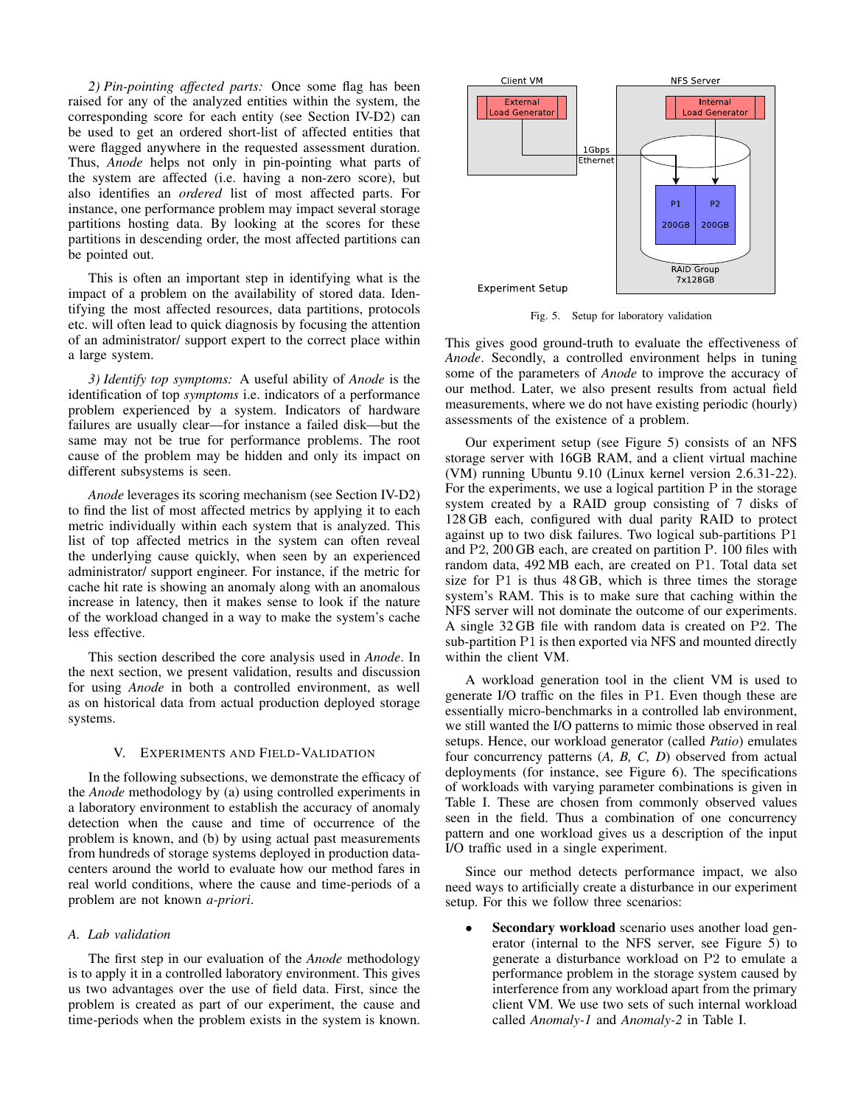*2) Pin-pointing affected parts:* Once some flag has been raised for any of the analyzed entities within the system, the corresponding score for each entity (see Section IV-D2) can be used to get an ordered short-list of affected entities that were flagged anywhere in the requested assessment duration. Thus, *Anode* helps not only in pin-pointing what parts of the system are affected (i.e. having a non-zero score), but also identifies an *ordered* list of most affected parts. For instance, one performance problem may impact several storage partitions hosting data. By looking at the scores for these partitions in descending order, the most affected partitions can be pointed out.

This is often an important step in identifying what is the impact of a problem on the availability of stored data. Identifying the most affected resources, data partitions, protocols etc. will often lead to quick diagnosis by focusing the attention of an administrator/ support expert to the correct place within a large system.

*3) Identify top symptoms:* A useful ability of *Anode* is the identification of top *symptoms* i.e. indicators of a performance problem experienced by a system. Indicators of hardware failures are usually clear—for instance a failed disk—but the same may not be true for performance problems. The root cause of the problem may be hidden and only its impact on different subsystems is seen.

*Anode* leverages its scoring mechanism (see Section IV-D2) to find the list of most affected metrics by applying it to each metric individually within each system that is analyzed. This list of top affected metrics in the system can often reveal the underlying cause quickly, when seen by an experienced administrator/ support engineer. For instance, if the metric for cache hit rate is showing an anomaly along with an anomalous increase in latency, then it makes sense to look if the nature of the workload changed in a way to make the system's cache less effective.

This section described the core analysis used in *Anode*. In the next section, we present validation, results and discussion for using *Anode* in both a controlled environment, as well as on historical data from actual production deployed storage systems.

# V. EXPERIMENTS AND FIELD-VALIDATION

In the following subsections, we demonstrate the efficacy of the *Anode* methodology by (a) using controlled experiments in a laboratory environment to establish the accuracy of anomaly detection when the cause and time of occurrence of the problem is known, and (b) by using actual past measurements from hundreds of storage systems deployed in production datacenters around the world to evaluate how our method fares in real world conditions, where the cause and time-periods of a problem are not known *a-priori*.

# *A. Lab validation*

The first step in our evaluation of the *Anode* methodology is to apply it in a controlled laboratory environment. This gives us two advantages over the use of field data. First, since the problem is created as part of our experiment, the cause and time-periods when the problem exists in the system is known.



Fig. 5. Setup for laboratory validation

This gives good ground-truth to evaluate the effectiveness of *Anode*. Secondly, a controlled environment helps in tuning some of the parameters of *Anode* to improve the accuracy of our method. Later, we also present results from actual field measurements, where we do not have existing periodic (hourly) assessments of the existence of a problem.

Our experiment setup (see Figure 5) consists of an NFS storage server with 16GB RAM, and a client virtual machine (VM) running Ubuntu 9.10 (Linux kernel version 2.6.31-22). For the experiments, we use a logical partition P in the storage system created by a RAID group consisting of 7 disks of 128 GB each, configured with dual parity RAID to protect against up to two disk failures. Two logical sub-partitions P1 and P2, 200 GB each, are created on partition P. 100 files with random data, 492 MB each, are created on P1. Total data set size for P1 is thus 48 GB, which is three times the storage system's RAM. This is to make sure that caching within the NFS server will not dominate the outcome of our experiments. A single 32 GB file with random data is created on P2. The sub-partition P1 is then exported via NFS and mounted directly within the client VM.

A workload generation tool in the client VM is used to generate I/O traffic on the files in P1. Even though these are essentially micro-benchmarks in a controlled lab environment, we still wanted the I/O patterns to mimic those observed in real setups. Hence, our workload generator (called *Patio*) emulates four concurrency patterns (*A, B, C, D*) observed from actual deployments (for instance, see Figure 6). The specifications of workloads with varying parameter combinations is given in Table I. These are chosen from commonly observed values seen in the field. Thus a combination of one concurrency pattern and one workload gives us a description of the input I/O traffic used in a single experiment.

Since our method detects performance impact, we also need ways to artificially create a disturbance in our experiment setup. For this we follow three scenarios:

Secondary workload scenario uses another load generator (internal to the NFS server, see Figure 5) to generate a disturbance workload on P2 to emulate a performance problem in the storage system caused by interference from any workload apart from the primary client VM. We use two sets of such internal workload called *Anomaly-1* and *Anomaly-2* in Table I.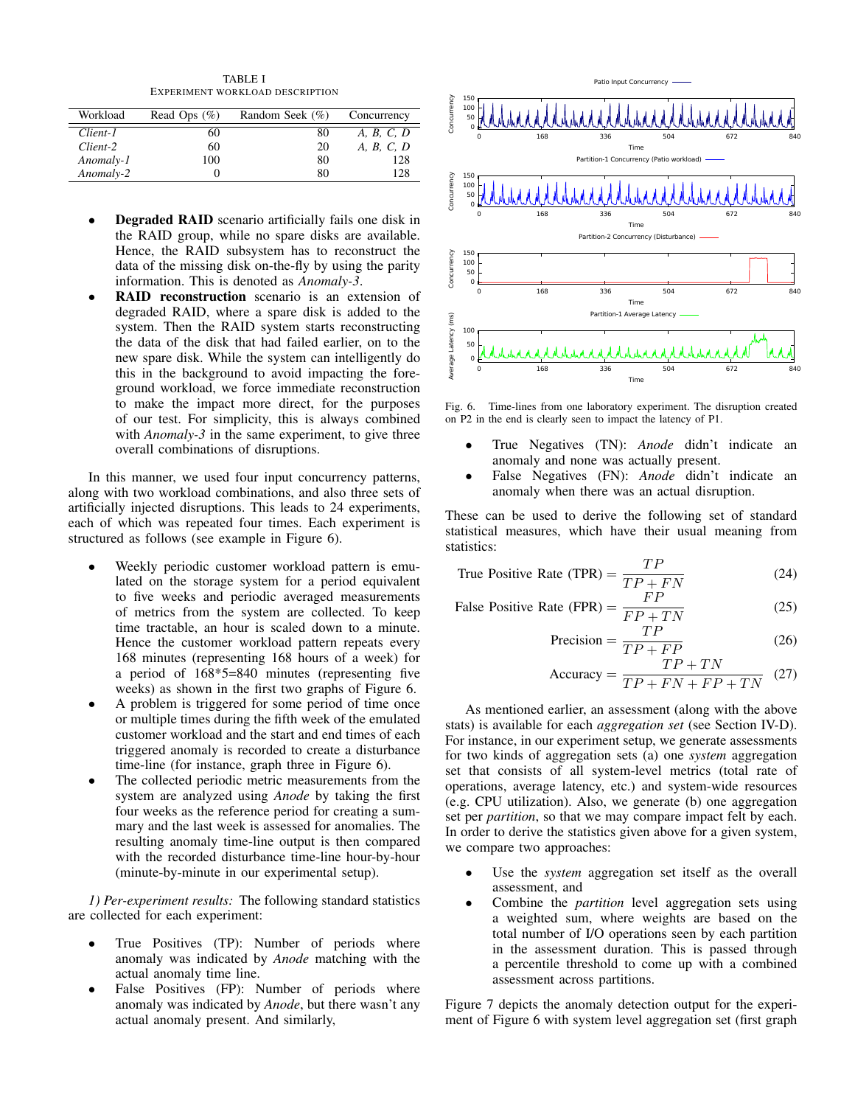TABLE I EXPERIMENT WORKLOAD DESCRIPTION

| Workload  | Read Ops $(\%)$ | Random Seek $(\% )$ | Concurrency |
|-----------|-----------------|---------------------|-------------|
| Client-1  | 60              | 80                  | A, B, C, D  |
| Client-2  | 60              | 20                  | A, B, C, D  |
| Anomaly-1 | 100             | 80                  | 128         |
| Anomaly-2 |                 | 80                  | 128         |

- Degraded RAID scenario artificially fails one disk in the RAID group, while no spare disks are available. Hence, the RAID subsystem has to reconstruct the data of the missing disk on-the-fly by using the parity information. This is denoted as *Anomaly-3*.
- **RAID reconstruction** scenario is an extension of degraded RAID, where a spare disk is added to the system. Then the RAID system starts reconstructing the data of the disk that had failed earlier, on to the new spare disk. While the system can intelligently do this in the background to avoid impacting the foreground workload, we force immediate reconstruction to make the impact more direct, for the purposes of our test. For simplicity, this is always combined with *Anomaly-3* in the same experiment, to give three overall combinations of disruptions.

In this manner, we used four input concurrency patterns, along with two workload combinations, and also three sets of artificially injected disruptions. This leads to 24 experiments, each of which was repeated four times. Each experiment is structured as follows (see example in Figure 6).

- Weekly periodic customer workload pattern is emulated on the storage system for a period equivalent to five weeks and periodic averaged measurements of metrics from the system are collected. To keep time tractable, an hour is scaled down to a minute. Hence the customer workload pattern repeats every 168 minutes (representing 168 hours of a week) for a period of 168\*5=840 minutes (representing five weeks) as shown in the first two graphs of Figure 6.
- A problem is triggered for some period of time once or multiple times during the fifth week of the emulated customer workload and the start and end times of each triggered anomaly is recorded to create a disturbance time-line (for instance, graph three in Figure 6).
- The collected periodic metric measurements from the system are analyzed using *Anode* by taking the first four weeks as the reference period for creating a summary and the last week is assessed for anomalies. The resulting anomaly time-line output is then compared with the recorded disturbance time-line hour-by-hour (minute-by-minute in our experimental setup).

*1) Per-experiment results:* The following standard statistics are collected for each experiment:

- True Positives (TP): Number of periods where anomaly was indicated by *Anode* matching with the actual anomaly time line.
- False Positives (FP): Number of periods where anomaly was indicated by *Anode*, but there wasn't any actual anomaly present. And similarly,



Fig. 6. Time-lines from one laboratory experiment. The disruption created on P2 in the end is clearly seen to impact the latency of P1.

- True Negatives (TN): *Anode* didn't indicate an anomaly and none was actually present.
- False Negatives (FN): *Anode* didn't indicate an anomaly when there was an actual disruption.

These can be used to derive the following set of standard statistical measures, which have their usual meaning from statistics:

True Positive Rate (TPR) = 
$$
\frac{TP}{TP + FN}
$$
 (24)

False Positive Rate (FPR) = 
$$
\frac{F}{FP + TN}
$$
 (25)

$$
Precision = \frac{TP}{TP + FP}
$$
 (26)

$$
Accuracy = \frac{TP + TN}{TP + FN + FP + TN}
$$
 (27)

As mentioned earlier, an assessment (along with the above stats) is available for each *aggregation set* (see Section IV-D). For instance, in our experiment setup, we generate assessments for two kinds of aggregation sets (a) one *system* aggregation set that consists of all system-level metrics (total rate of operations, average latency, etc.) and system-wide resources (e.g. CPU utilization). Also, we generate (b) one aggregation set per *partition*, so that we may compare impact felt by each. In order to derive the statistics given above for a given system, we compare two approaches:

- Use the *system* aggregation set itself as the overall assessment, and
- Combine the *partition* level aggregation sets using a weighted sum, where weights are based on the total number of I/O operations seen by each partition in the assessment duration. This is passed through a percentile threshold to come up with a combined assessment across partitions.

Figure 7 depicts the anomaly detection output for the experiment of Figure 6 with system level aggregation set (first graph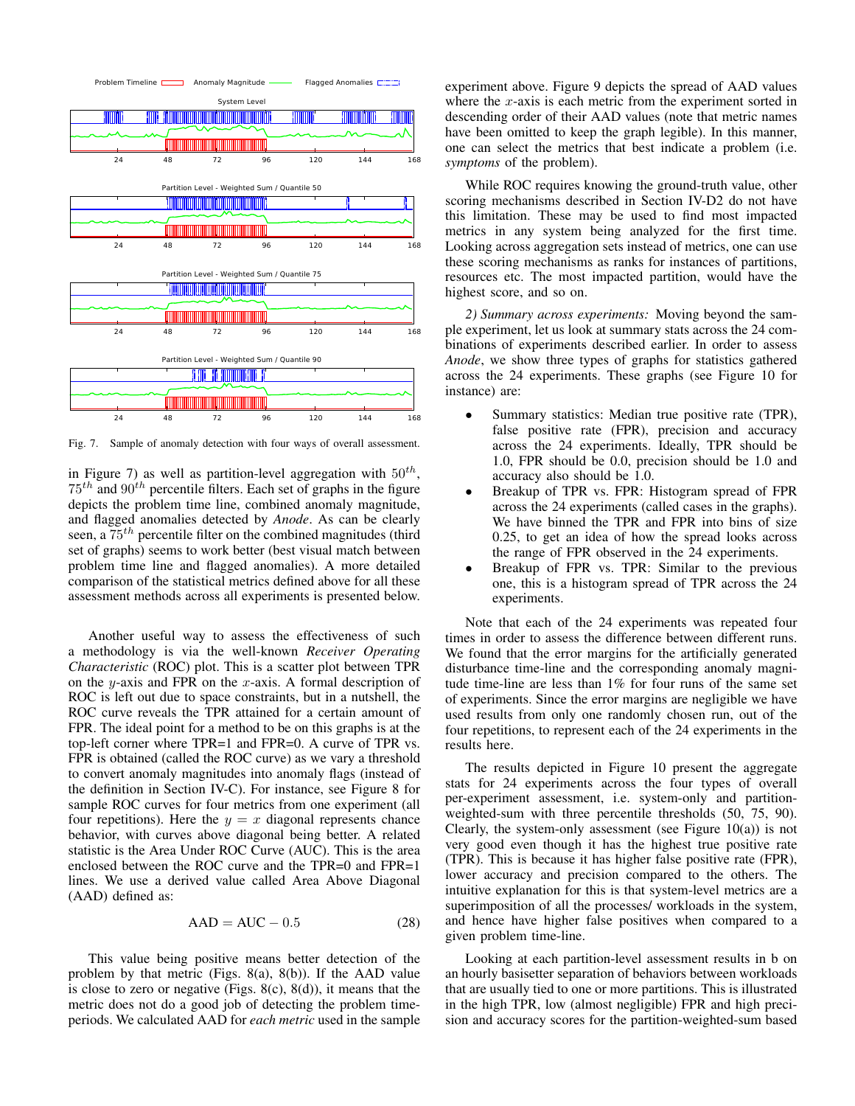

Fig. 7. Sample of anomaly detection with four ways of overall assessment.

in Figure 7) as well as partition-level aggregation with  $50^{th}$ ,  $75<sup>th</sup>$  and  $90<sup>th</sup>$  percentile filters. Each set of graphs in the figure depicts the problem time line, combined anomaly magnitude, and flagged anomalies detected by *Anode*. As can be clearly seen, a  $75<sup>th</sup>$  percentile filter on the combined magnitudes (third set of graphs) seems to work better (best visual match between problem time line and flagged anomalies). A more detailed comparison of the statistical metrics defined above for all these assessment methods across all experiments is presented below.

Another useful way to assess the effectiveness of such a methodology is via the well-known *Receiver Operating Characteristic* (ROC) plot. This is a scatter plot between TPR on the  $y$ -axis and FPR on the x-axis. A formal description of ROC is left out due to space constraints, but in a nutshell, the ROC curve reveals the TPR attained for a certain amount of FPR. The ideal point for a method to be on this graphs is at the top-left corner where TPR=1 and FPR=0. A curve of TPR vs. FPR is obtained (called the ROC curve) as we vary a threshold to convert anomaly magnitudes into anomaly flags (instead of the definition in Section IV-C). For instance, see Figure 8 for sample ROC curves for four metrics from one experiment (all four repetitions). Here the  $y = x$  diagonal represents chance behavior, with curves above diagonal being better. A related statistic is the Area Under ROC Curve (AUC). This is the area enclosed between the ROC curve and the TPR=0 and FPR=1 lines. We use a derived value called Area Above Diagonal (AAD) defined as:

$$
AAD = AUC - 0.5 \tag{28}
$$

This value being positive means better detection of the problem by that metric (Figs. 8(a), 8(b)). If the AAD value is close to zero or negative (Figs. 8(c), 8(d)), it means that the metric does not do a good job of detecting the problem timeperiods. We calculated AAD for *each metric* used in the sample experiment above. Figure 9 depicts the spread of AAD values where the x-axis is each metric from the experiment sorted in descending order of their AAD values (note that metric names have been omitted to keep the graph legible). In this manner, one can select the metrics that best indicate a problem (i.e. *symptoms* of the problem).

While ROC requires knowing the ground-truth value, other scoring mechanisms described in Section IV-D2 do not have this limitation. These may be used to find most impacted metrics in any system being analyzed for the first time. Looking across aggregation sets instead of metrics, one can use these scoring mechanisms as ranks for instances of partitions, resources etc. The most impacted partition, would have the highest score, and so on.

*2) Summary across experiments:* Moving beyond the sample experiment, let us look at summary stats across the 24 combinations of experiments described earlier. In order to assess *Anode*, we show three types of graphs for statistics gathered across the 24 experiments. These graphs (see Figure 10 for instance) are:

- Summary statistics: Median true positive rate (TPR), false positive rate (FPR), precision and accuracy across the 24 experiments. Ideally, TPR should be 1.0, FPR should be 0.0, precision should be 1.0 and accuracy also should be 1.0.
- Breakup of TPR vs. FPR: Histogram spread of FPR across the 24 experiments (called cases in the graphs). We have binned the TPR and FPR into bins of size 0.25, to get an idea of how the spread looks across the range of FPR observed in the 24 experiments.
- Breakup of FPR vs. TPR: Similar to the previous one, this is a histogram spread of TPR across the 24 experiments.

Note that each of the 24 experiments was repeated four times in order to assess the difference between different runs. We found that the error margins for the artificially generated disturbance time-line and the corresponding anomaly magnitude time-line are less than 1% for four runs of the same set of experiments. Since the error margins are negligible we have used results from only one randomly chosen run, out of the four repetitions, to represent each of the 24 experiments in the results here.

The results depicted in Figure 10 present the aggregate stats for 24 experiments across the four types of overall per-experiment assessment, i.e. system-only and partitionweighted-sum with three percentile thresholds (50, 75, 90). Clearly, the system-only assessment (see Figure  $10(a)$ ) is not very good even though it has the highest true positive rate (TPR). This is because it has higher false positive rate (FPR), lower accuracy and precision compared to the others. The intuitive explanation for this is that system-level metrics are a superimposition of all the processes/ workloads in the system, and hence have higher false positives when compared to a given problem time-line.

Looking at each partition-level assessment results in b on an hourly basisetter separation of behaviors between workloads that are usually tied to one or more partitions. This is illustrated in the high TPR, low (almost negligible) FPR and high precision and accuracy scores for the partition-weighted-sum based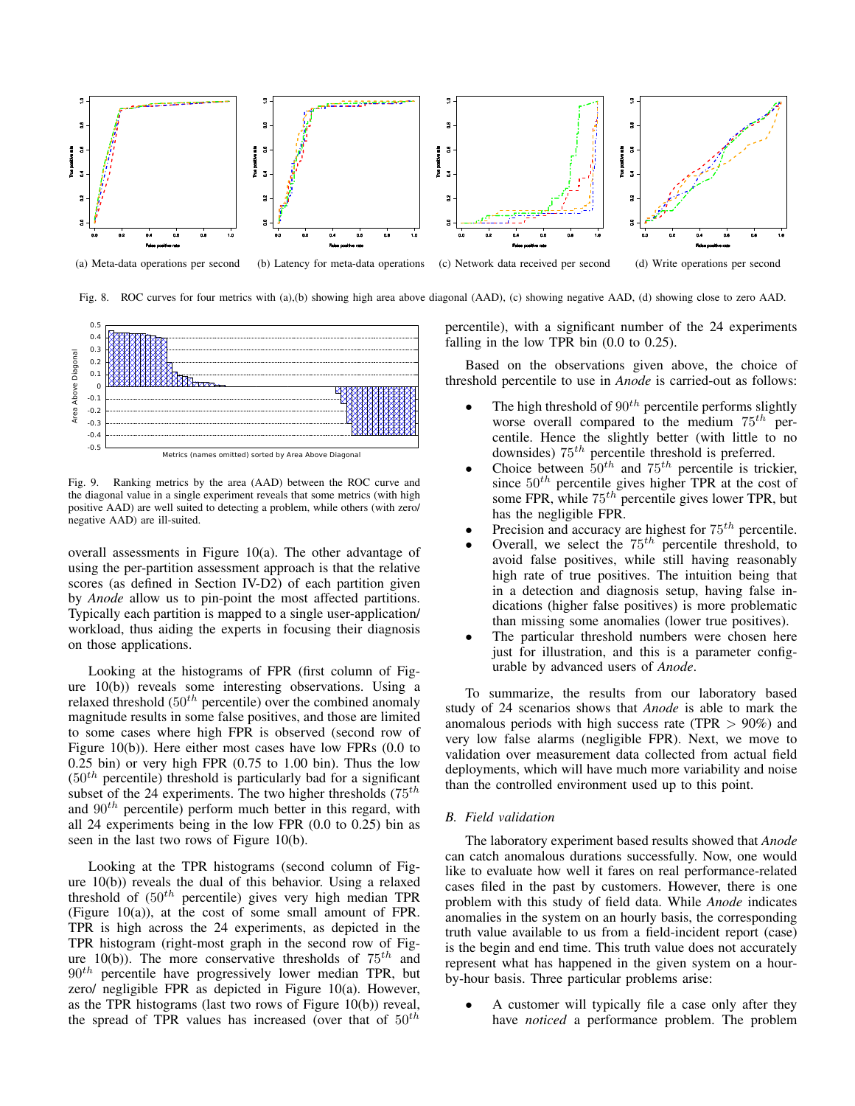

Fig. 8. ROC curves for four metrics with (a),(b) showing high area above diagonal (AAD), (c) showing negative AAD, (d) showing close to zero AAD.



Fig. 9. Ranking metrics by the area (AAD) between the ROC curve and the diagonal value in a single experiment reveals that some metrics (with high positive AAD) are well suited to detecting a problem, while others (with zero/ negative AAD) are ill-suited.

overall assessments in Figure 10(a). The other advantage of using the per-partition assessment approach is that the relative scores (as defined in Section IV-D2) of each partition given by *Anode* allow us to pin-point the most affected partitions. Typically each partition is mapped to a single user-application/ workload, thus aiding the experts in focusing their diagnosis on those applications.

Looking at the histograms of FPR (first column of Figure 10(b)) reveals some interesting observations. Using a relaxed threshold  $(50<sup>th</sup>$  percentile) over the combined anomaly magnitude results in some false positives, and those are limited to some cases where high FPR is observed (second row of Figure 10(b)). Here either most cases have low FPRs (0.0 to 0.25 bin) or very high FPR (0.75 to 1.00 bin). Thus the low  $(50<sup>th</sup>$  percentile) threshold is particularly bad for a significant subset of the 24 experiments. The two higher thresholds  $(75^{th}$ and  $90<sup>th</sup>$  percentile) perform much better in this regard, with all 24 experiments being in the low FPR (0.0 to 0.25) bin as seen in the last two rows of Figure 10(b).

Looking at the TPR histograms (second column of Figure 10(b)) reveals the dual of this behavior. Using a relaxed threshold of  $(50<sup>th</sup>$  percentile) gives very high median TPR (Figure 10(a)), at the cost of some small amount of FPR. TPR is high across the 24 experiments, as depicted in the TPR histogram (right-most graph in the second row of Figure 10(b)). The more conservative thresholds of  $75^{th}$  and  $90<sup>th</sup>$  percentile have progressively lower median TPR, but zero/ negligible FPR as depicted in Figure 10(a). However, as the TPR histograms (last two rows of Figure 10(b)) reveal, the spread of TPR values has increased (over that of  $50^{th}$ )

percentile), with a significant number of the 24 experiments falling in the low TPR bin (0.0 to 0.25).

Based on the observations given above, the choice of threshold percentile to use in *Anode* is carried-out as follows:

- The high threshold of  $90<sup>th</sup>$  percentile performs slightly worse overall compared to the medium  $75^{th}$  percentile. Hence the slightly better (with little to no downsides)  $75<sup>th</sup>$  percentile threshold is preferred.
- Choice between  $50^{th}$  and  $75^{th}$  percentile is trickier, since  $50<sup>th</sup>$  percentile gives higher TPR at the cost of some FPR, while  $75^{th}$  percentile gives lower TPR, but has the negligible FPR.
- Precision and accuracy are highest for  $75<sup>th</sup>$  percentile.
- Overall, we select the  $75<sup>th</sup>$  percentile threshold, to avoid false positives, while still having reasonably high rate of true positives. The intuition being that in a detection and diagnosis setup, having false indications (higher false positives) is more problematic than missing some anomalies (lower true positives).
- The particular threshold numbers were chosen here just for illustration, and this is a parameter configurable by advanced users of *Anode*.

To summarize, the results from our laboratory based study of 24 scenarios shows that *Anode* is able to mark the anomalous periods with high success rate (TPR  $> 90\%$ ) and very low false alarms (negligible FPR). Next, we move to validation over measurement data collected from actual field deployments, which will have much more variability and noise than the controlled environment used up to this point.

# *B. Field validation*

The laboratory experiment based results showed that *Anode* can catch anomalous durations successfully. Now, one would like to evaluate how well it fares on real performance-related cases filed in the past by customers. However, there is one problem with this study of field data. While *Anode* indicates anomalies in the system on an hourly basis, the corresponding truth value available to us from a field-incident report (case) is the begin and end time. This truth value does not accurately represent what has happened in the given system on a hourby-hour basis. Three particular problems arise:

• A customer will typically file a case only after they have *noticed* a performance problem. The problem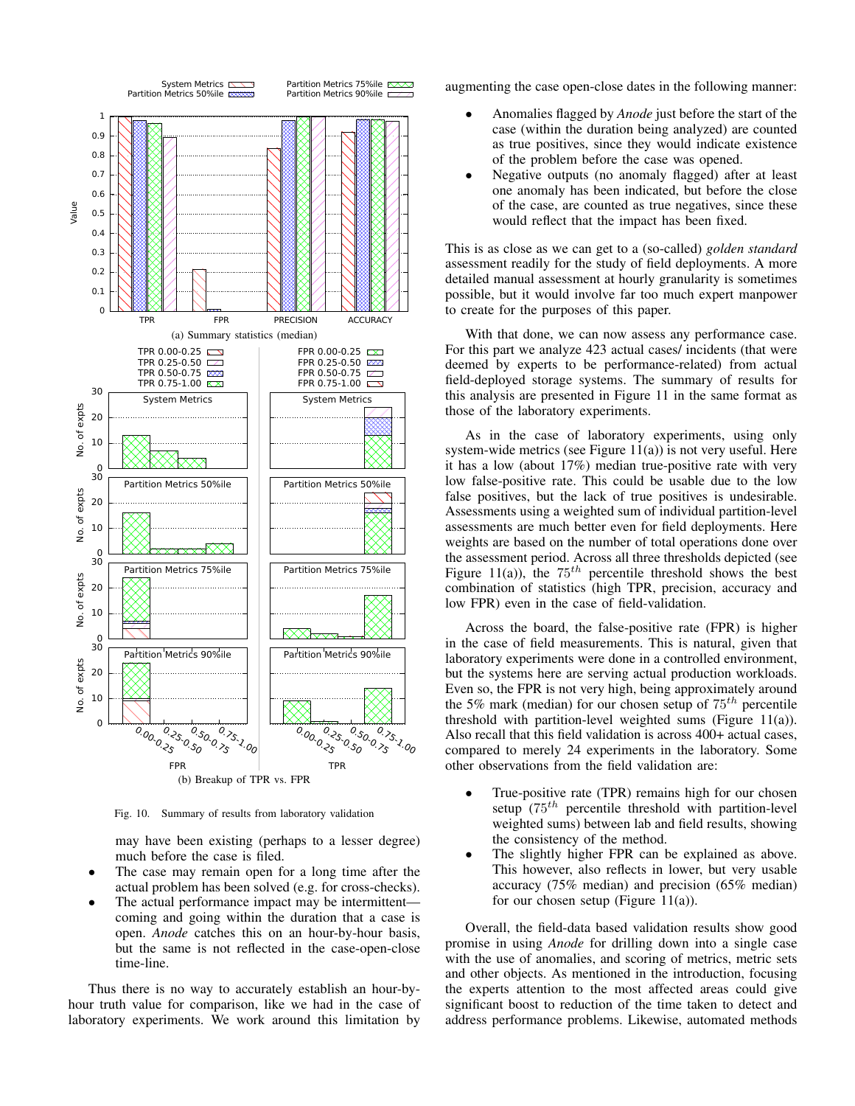

Fig. 10. Summary of results from laboratory validation

may have been existing (perhaps to a lesser degree) much before the case is filed.

- The case may remain open for a long time after the actual problem has been solved (e.g. for cross-checks).
- The actual performance impact may be intermittent coming and going within the duration that a case is open. *Anode* catches this on an hour-by-hour basis, but the same is not reflected in the case-open-close time-line.

Thus there is no way to accurately establish an hour-byhour truth value for comparison, like we had in the case of laboratory experiments. We work around this limitation by augmenting the case open-close dates in the following manner:

- Anomalies flagged by *Anode* just before the start of the case (within the duration being analyzed) are counted as true positives, since they would indicate existence of the problem before the case was opened.
- Negative outputs (no anomaly flagged) after at least one anomaly has been indicated, but before the close of the case, are counted as true negatives, since these would reflect that the impact has been fixed.

This is as close as we can get to a (so-called) *golden standard* assessment readily for the study of field deployments. A more detailed manual assessment at hourly granularity is sometimes possible, but it would involve far too much expert manpower to create for the purposes of this paper.

With that done, we can now assess any performance case. For this part we analyze 423 actual cases/ incidents (that were deemed by experts to be performance-related) from actual field-deployed storage systems. The summary of results for this analysis are presented in Figure 11 in the same format as those of the laboratory experiments.

As in the case of laboratory experiments, using only system-wide metrics (see Figure  $11(a)$ ) is not very useful. Here it has a low (about 17%) median true-positive rate with very low false-positive rate. This could be usable due to the low false positives, but the lack of true positives is undesirable. Assessments using a weighted sum of individual partition-level assessments are much better even for field deployments. Here weights are based on the number of total operations done over the assessment period. Across all three thresholds depicted (see Figure 11(a)), the  $75<sup>th</sup>$  percentile threshold shows the best combination of statistics (high TPR, precision, accuracy and low FPR) even in the case of field-validation.

Across the board, the false-positive rate (FPR) is higher in the case of field measurements. This is natural, given that laboratory experiments were done in a controlled environment, but the systems here are serving actual production workloads. Even so, the FPR is not very high, being approximately around the 5% mark (median) for our chosen setup of  $75<sup>th</sup>$  percentile threshold with partition-level weighted sums (Figure 11(a)). Also recall that this field validation is across 400+ actual cases, compared to merely 24 experiments in the laboratory. Some other observations from the field validation are:

- True-positive rate (TPR) remains high for our chosen setup  $(75<sup>th</sup>$  percentile threshold with partition-level weighted sums) between lab and field results, showing the consistency of the method.
- The slightly higher FPR can be explained as above. This however, also reflects in lower, but very usable accuracy (75% median) and precision (65% median) for our chosen setup (Figure  $11(a)$ ).

Overall, the field-data based validation results show good promise in using *Anode* for drilling down into a single case with the use of anomalies, and scoring of metrics, metric sets and other objects. As mentioned in the introduction, focusing the experts attention to the most affected areas could give significant boost to reduction of the time taken to detect and address performance problems. Likewise, automated methods